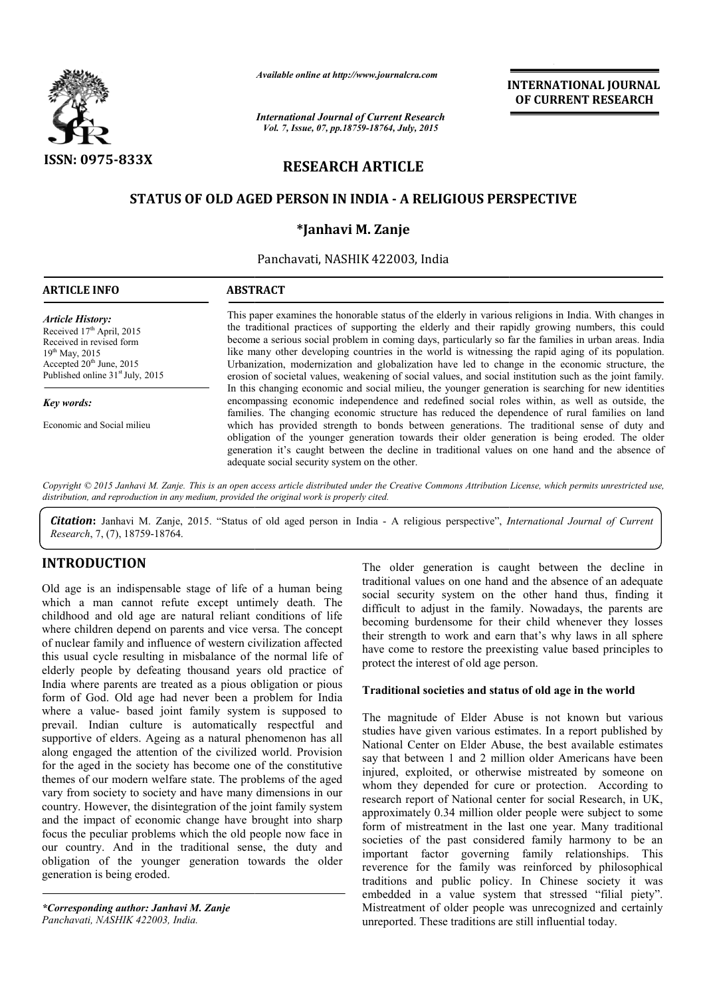

*Available online at http://www.journalcra.com*

# RESEARCH ARTICLE

## STATUS OF OLD AGED PERSON IN INDIA - A RELIGIOUS PERSPECTIVE

## \*Janhavi M. Zanje

|                                                                                                                                                                                                                                                                                                                                                                                                                                                                                                                                                                                                                                                                                                                                                                                           | ггчишне опине иг тир.// www.journatera.com<br><b>International Journal of Current Research</b><br>Vol. 7, Issue, 07, pp.18759-18764, July, 2015                                                                                                                                                                                                                                                                                                                                                                                                                                                                                                                                                                                                                                                                                                                                                                                                      |                                                                                                                                                                                                                                                                                                                                                   | <b>INTERNATIONAL JOURNAL</b><br>OF CURRENT RESEARCH                                                                                                                                                                                                                                                                                                                                                                                                                                                                                                                                                                                                                                                                                                                                                                                                                                                                                                      |  |
|-------------------------------------------------------------------------------------------------------------------------------------------------------------------------------------------------------------------------------------------------------------------------------------------------------------------------------------------------------------------------------------------------------------------------------------------------------------------------------------------------------------------------------------------------------------------------------------------------------------------------------------------------------------------------------------------------------------------------------------------------------------------------------------------|------------------------------------------------------------------------------------------------------------------------------------------------------------------------------------------------------------------------------------------------------------------------------------------------------------------------------------------------------------------------------------------------------------------------------------------------------------------------------------------------------------------------------------------------------------------------------------------------------------------------------------------------------------------------------------------------------------------------------------------------------------------------------------------------------------------------------------------------------------------------------------------------------------------------------------------------------|---------------------------------------------------------------------------------------------------------------------------------------------------------------------------------------------------------------------------------------------------------------------------------------------------------------------------------------------------|----------------------------------------------------------------------------------------------------------------------------------------------------------------------------------------------------------------------------------------------------------------------------------------------------------------------------------------------------------------------------------------------------------------------------------------------------------------------------------------------------------------------------------------------------------------------------------------------------------------------------------------------------------------------------------------------------------------------------------------------------------------------------------------------------------------------------------------------------------------------------------------------------------------------------------------------------------|--|
| ISSN: 0975-833X<br><b>RESEARCH ARTICLE</b>                                                                                                                                                                                                                                                                                                                                                                                                                                                                                                                                                                                                                                                                                                                                                |                                                                                                                                                                                                                                                                                                                                                                                                                                                                                                                                                                                                                                                                                                                                                                                                                                                                                                                                                      |                                                                                                                                                                                                                                                                                                                                                   |                                                                                                                                                                                                                                                                                                                                                                                                                                                                                                                                                                                                                                                                                                                                                                                                                                                                                                                                                          |  |
|                                                                                                                                                                                                                                                                                                                                                                                                                                                                                                                                                                                                                                                                                                                                                                                           | <b>STATUS OF OLD AGED PERSON IN INDIA - A RELIGIOUS PERSPECTIVE</b>                                                                                                                                                                                                                                                                                                                                                                                                                                                                                                                                                                                                                                                                                                                                                                                                                                                                                  |                                                                                                                                                                                                                                                                                                                                                   |                                                                                                                                                                                                                                                                                                                                                                                                                                                                                                                                                                                                                                                                                                                                                                                                                                                                                                                                                          |  |
|                                                                                                                                                                                                                                                                                                                                                                                                                                                                                                                                                                                                                                                                                                                                                                                           |                                                                                                                                                                                                                                                                                                                                                                                                                                                                                                                                                                                                                                                                                                                                                                                                                                                                                                                                                      | *Janhavi M. Zanje                                                                                                                                                                                                                                                                                                                                 |                                                                                                                                                                                                                                                                                                                                                                                                                                                                                                                                                                                                                                                                                                                                                                                                                                                                                                                                                          |  |
|                                                                                                                                                                                                                                                                                                                                                                                                                                                                                                                                                                                                                                                                                                                                                                                           |                                                                                                                                                                                                                                                                                                                                                                                                                                                                                                                                                                                                                                                                                                                                                                                                                                                                                                                                                      | Panchavati, NASHIK 422003, India                                                                                                                                                                                                                                                                                                                  |                                                                                                                                                                                                                                                                                                                                                                                                                                                                                                                                                                                                                                                                                                                                                                                                                                                                                                                                                          |  |
| <b>ARTICLE INFO</b>                                                                                                                                                                                                                                                                                                                                                                                                                                                                                                                                                                                                                                                                                                                                                                       | <b>ABSTRACT</b>                                                                                                                                                                                                                                                                                                                                                                                                                                                                                                                                                                                                                                                                                                                                                                                                                                                                                                                                      |                                                                                                                                                                                                                                                                                                                                                   |                                                                                                                                                                                                                                                                                                                                                                                                                                                                                                                                                                                                                                                                                                                                                                                                                                                                                                                                                          |  |
| <b>Article History:</b><br>Received 17th April, 2015<br>Received in revised form<br>19th May, 2015<br>Accepted 20 <sup>th</sup> June, 2015<br>Published online 31 <sup>st</sup> July, 2015<br>Key words:                                                                                                                                                                                                                                                                                                                                                                                                                                                                                                                                                                                  | This paper examines the honorable status of the elderly in various religions in India. With changes in<br>the traditional practices of supporting the elderly and their rapidly growing numbers, this could<br>become a serious social problem in coming days, particularly so far the families in urban areas. India<br>like many other developing countries in the world is witnessing the rapid aging of its population.<br>Urbanization, modernization and globalization have led to change in the economic structure, the<br>erosion of societal values, weakening of social values, and social institution such as the joint family.<br>In this changing economic and social milieu, the younger generation is searching for new identities<br>encompassing economic independence and redefined social roles within, as well as outside, the<br>families. The changing economic structure has reduced the dependence of rural families on land |                                                                                                                                                                                                                                                                                                                                                   |                                                                                                                                                                                                                                                                                                                                                                                                                                                                                                                                                                                                                                                                                                                                                                                                                                                                                                                                                          |  |
| Economic and Social milieu                                                                                                                                                                                                                                                                                                                                                                                                                                                                                                                                                                                                                                                                                                                                                                |                                                                                                                                                                                                                                                                                                                                                                                                                                                                                                                                                                                                                                                                                                                                                                                                                                                                                                                                                      | which has provided strength to bonds between generations. The traditional sense of duty and<br>obligation of the younger generation towards their older generation is being eroded. The older<br>generation it's caught between the decline in traditional values on one hand and the absence of<br>adequate social security system on the other. |                                                                                                                                                                                                                                                                                                                                                                                                                                                                                                                                                                                                                                                                                                                                                                                                                                                                                                                                                          |  |
| distribution, and reproduction in any medium, provided the original work is properly cited.<br>Research, 7, (7), 18759-18764.                                                                                                                                                                                                                                                                                                                                                                                                                                                                                                                                                                                                                                                             |                                                                                                                                                                                                                                                                                                                                                                                                                                                                                                                                                                                                                                                                                                                                                                                                                                                                                                                                                      |                                                                                                                                                                                                                                                                                                                                                   | Copyright © 2015 Janhavi M. Zanje. This is an open access article distributed under the Creative Commons Attribution License, which permits unrestricted use,<br>Citation: Janhavi M. Zanje, 2015. "Status of old aged person in India - A religious perspective", International Journal of Current                                                                                                                                                                                                                                                                                                                                                                                                                                                                                                                                                                                                                                                      |  |
| <b>INTRODUCTION</b><br>Old age is an indispensable stage of life of a human being<br>which a man cannot refute except untimely death. The<br>childhood and old age are natural reliant conditions of life<br>where children depend on parents and vice versa. The concept<br>of nuclear family and influence of western civilization affected<br>this usual cycle resulting in misbalance of the normal life of<br>elderly people by defeating thousand years old practice of<br>India where parents are treated as a pious obligation or pious<br>form of God. Old age had never been a problem for India<br>where a value- based joint family system is supposed to                                                                                                                     |                                                                                                                                                                                                                                                                                                                                                                                                                                                                                                                                                                                                                                                                                                                                                                                                                                                                                                                                                      | protect the interest of old age person.                                                                                                                                                                                                                                                                                                           | The older generation is caught between the decline in<br>traditional values on one hand and the absence of an adequate<br>social security system on the other hand thus, finding it<br>difficult to adjust in the family. Nowadays, the parents are<br>becoming burdensome for their child whenever they losses<br>their strength to work and earn that's why laws in all sphere<br>have come to restore the preexisting value based principles to<br>Traditional societies and status of old age in the world                                                                                                                                                                                                                                                                                                                                                                                                                                           |  |
| prevail. Indian culture is automatically respectful and<br>supportive of elders. Ageing as a natural phenomenon has all<br>along engaged the attention of the civilized world. Provision<br>for the aged in the society has become one of the constitutive<br>themes of our modern welfare state. The problems of the aged<br>vary from society to society and have many dimensions in our<br>country. However, the disintegration of the joint family system<br>and the impact of economic change have brought into sharp<br>focus the peculiar problems which the old people now face in<br>our country. And in the traditional sense, the duty and<br>obligation of the younger generation towards the older<br>generation is being eroded.<br>*Corresponding author: Janhavi M. Zanje |                                                                                                                                                                                                                                                                                                                                                                                                                                                                                                                                                                                                                                                                                                                                                                                                                                                                                                                                                      |                                                                                                                                                                                                                                                                                                                                                   | The magnitude of Elder Abuse is not known but various<br>studies have given various estimates. In a report published by<br>National Center on Elder Abuse, the best available estimates<br>say that between 1 and 2 million older Americans have been<br>injured, exploited, or otherwise mistreated by someone on<br>whom they depended for cure or protection. According to<br>research report of National center for social Research, in UK,<br>approximately 0.34 million older people were subject to some<br>form of mistreatment in the last one year. Many traditional<br>societies of the past considered family harmony to be an<br>important factor governing family relationships.<br>This<br>reverence for the family was reinforced by philosophical<br>traditions and public policy. In Chinese society it was<br>embedded in a value system that stressed "filial piety".<br>Mistreatment of older people was unrecognized and certainly |  |

## INTRODUCTION

*\*Corresponding author: Janhavi M. Zanje Panchavati, NASHIK 422003, India.*

## Traditional societies and status of old age in the world

The magnitude of Elder Abuse is not known but various studies have given various estimates. In a report published by National Center on Elder Abuse, the best available es say that between 1 and 2 million older Americans have been injured, exploited, or otherwise mistreated by someone on whom they depended for cure or protection. According to research report of National center for social Research, in UK, approximately 0.34 million older people were subject to some form of mistreatment in the last one year. Many traditional societies of the past considered family harmony to be an important factor governing family relationships. This reverence for the family was reinforced by philosophical traditions and public policy. In Chinese society it was embedded in a value system that stressed "filial piety". Mistreatment of older people was unrecognized and certainly unreported. These traditions are still influential today. not known but various<br>have given various estimates. In a report published by<br>al Center on Elder Abuse, the best available estimates that between 1 and 2 million older Americans have been<br>red, exploited, or otherwise mistreated by someone on<br>m they depended for cure or protection. According to<br>arch report of National center for social Research, in UK,<br>o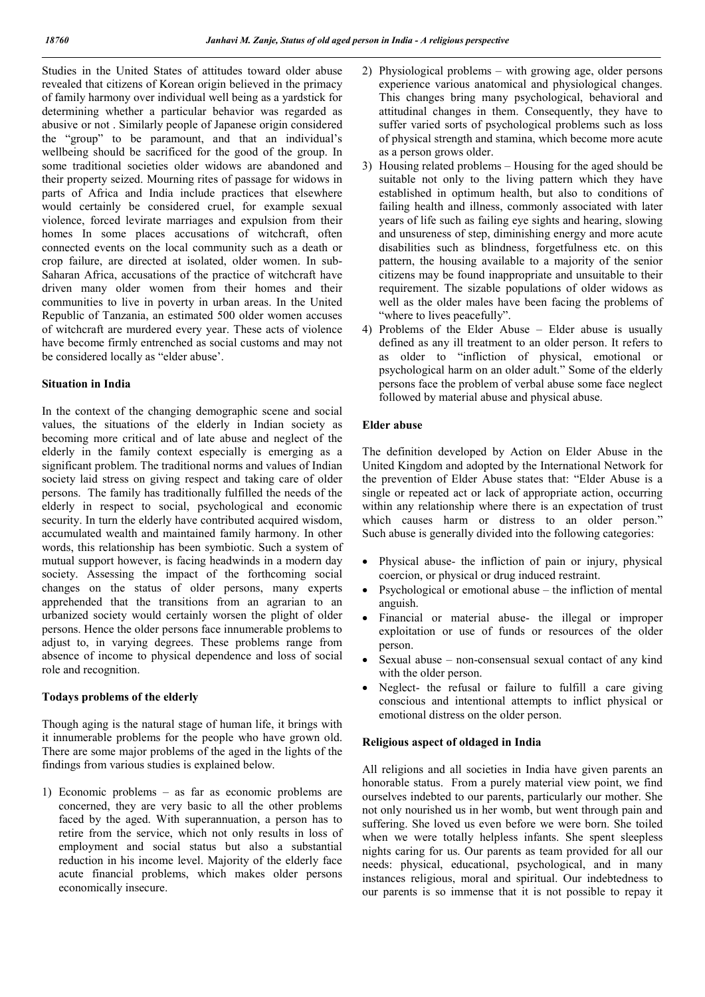Studies in the United States of attitudes toward older abuse revealed that citizens of Korean origin believed in the primacy of family harmony over individual well being as a yardstick for determining whether a particular behavior was regarded as abusive or not . Similarly people of Japanese origin considered the "group" to be paramount, and that an individual's wellbeing should be sacrificed for the good of the group. In some traditional societies older widows are abandoned and their property seized. Mourning rites of passage for widows in parts of Africa and India include practices that elsewhere would certainly be considered cruel, for example sexual violence, forced levirate marriages and expulsion from their homes In some places accusations of witchcraft, often connected events on the local community such as a death or crop failure, are directed at isolated, older women. In sub-Saharan Africa, accusations of the practice of witchcraft have driven many older women from their homes and their communities to live in poverty in urban areas. In the United Republic of Tanzania, an estimated 500 older women accuses of witchcraft are murdered every year. These acts of violence have become firmly entrenched as social customs and may not be considered locally as "elder abuse'.

#### Situation in India

In the context of the changing demographic scene and social values, the situations of the elderly in Indian society as becoming more critical and of late abuse and neglect of the elderly in the family context especially is emerging as a significant problem. The traditional norms and values of Indian society laid stress on giving respect and taking care of older persons. The family has traditionally fulfilled the needs of the elderly in respect to social, psychological and economic security. In turn the elderly have contributed acquired wisdom, accumulated wealth and maintained family harmony. In other words, this relationship has been symbiotic. Such a system of mutual support however, is facing headwinds in a modern day society. Assessing the impact of the forthcoming social changes on the status of older persons, many experts apprehended that the transitions from an agrarian to an urbanized society would certainly worsen the plight of older persons. Hence the older persons face innumerable problems to adjust to, in varying degrees. These problems range from absence of income to physical dependence and loss of social role and recognition.

#### Todays problems of the elderly

Though aging is the natural stage of human life, it brings with it innumerable problems for the people who have grown old. There are some major problems of the aged in the lights of the findings from various studies is explained below.

1) Economic problems – as far as economic problems are concerned, they are very basic to all the other problems faced by the aged. With superannuation, a person has to retire from the service, which not only results in loss of employment and social status but also a substantial reduction in his income level. Majority of the elderly face acute financial problems, which makes older persons economically insecure.

- 2) Physiological problems with growing age, older persons experience various anatomical and physiological changes. This changes bring many psychological, behavioral and attitudinal changes in them. Consequently, they have to suffer varied sorts of psychological problems such as loss of physical strength and stamina, which become more acute as a person grows older.
- 3) Housing related problems Housing for the aged should be suitable not only to the living pattern which they have established in optimum health, but also to conditions of failing health and illness, commonly associated with later years of life such as failing eye sights and hearing, slowing and unsureness of step, diminishing energy and more acute disabilities such as blindness, forgetfulness etc. on this pattern, the housing available to a majority of the senior citizens may be found inappropriate and unsuitable to their requirement. The sizable populations of older widows as well as the older males have been facing the problems of "where to lives peacefully".
- 4) Problems of the Elder Abuse Elder abuse is usually defined as any ill treatment to an older person. It refers to as older to "infliction of physical, emotional or psychological harm on an older adult." Some of the elderly persons face the problem of verbal abuse some face neglect followed by material abuse and physical abuse.

#### Elder abuse

The definition developed by Action on Elder Abuse in the United Kingdom and adopted by the International Network for the prevention of Elder Abuse states that: "Elder Abuse is a single or repeated act or lack of appropriate action, occurring within any relationship where there is an expectation of trust which causes harm or distress to an older person." Such abuse is generally divided into the following categories:

- Physical abuse- the infliction of pain or injury, physical coercion, or physical or drug induced restraint.
- Psychological or emotional abuse the infliction of mental anguish.
- Financial or material abuse- the illegal or improper exploitation or use of funds or resources of the older person.
- Sexual abuse non-consensual sexual contact of any kind with the older person.
- Neglect- the refusal or failure to fulfill a care giving conscious and intentional attempts to inflict physical or emotional distress on the older person.

### Religious aspect of oldaged in India

All religions and all societies in India have given parents an honorable status. From a purely material view point, we find ourselves indebted to our parents, particularly our mother. She not only nourished us in her womb, but went through pain and suffering. She loved us even before we were born. She toiled when we were totally helpless infants. She spent sleepless nights caring for us. Our parents as team provided for all our needs: physical, educational, psychological, and in many instances religious, moral and spiritual. Our indebtedness to our parents is so immense that it is not possible to repay it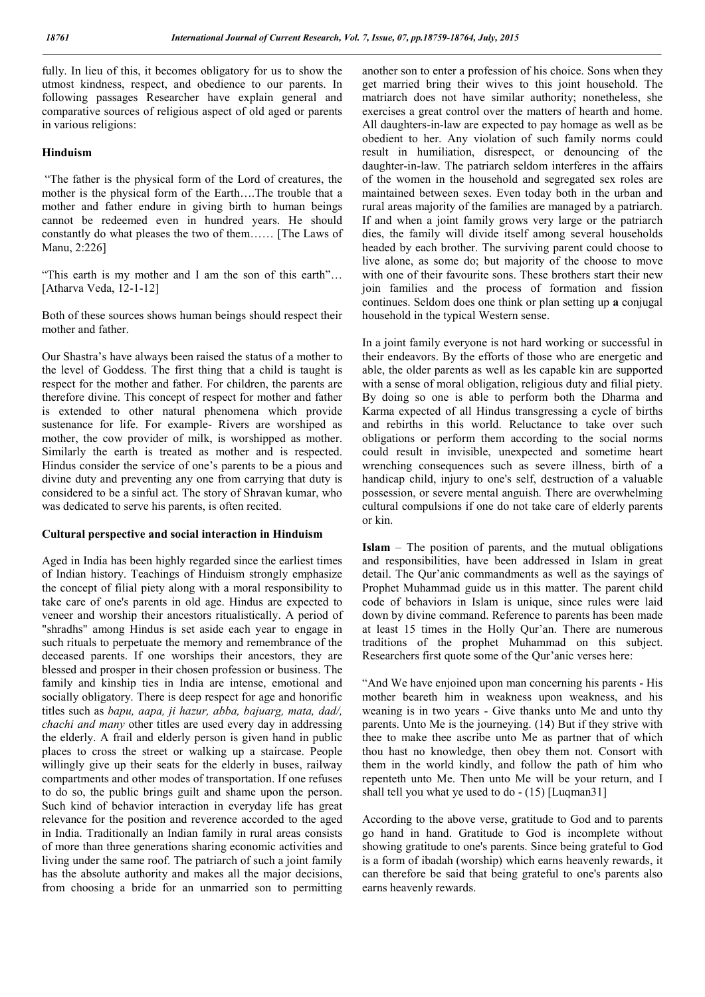fully. In lieu of this, it becomes obligatory for us to show the utmost kindness, respect, and obedience to our parents. In following passages Researcher have explain general and comparative sources of religious aspect of old aged or parents in various religions:

#### Hinduism

"The father is the physical form of the Lord of creatures, the mother is the physical form of the Earth….The trouble that a mother and father endure in giving birth to human beings cannot be redeemed even in hundred years. He should constantly do what pleases the two of them…… [The Laws of Manu, 2:226]

"This earth is my mother and I am the son of this earth"… [Atharva Veda, 12-1-12]

Both of these sources shows human beings should respect their mother and father.

Our Shastra's have always been raised the status of a mother to the level of Goddess. The first thing that a child is taught is respect for the mother and father. For children, the parents are therefore divine. This concept of respect for mother and father is extended to other natural phenomena which provide sustenance for life. For example- Rivers are worshiped as mother, the cow provider of milk, is worshipped as mother. Similarly the earth is treated as mother and is respected. Hindus consider the service of one's parents to be a pious and divine duty and preventing any one from carrying that duty is considered to be a sinful act. The story of Shravan kumar, who was dedicated to serve his parents, is often recited.

#### Cultural perspective and social interaction in Hinduism

Aged in India has been highly regarded since the earliest times of Indian history. Teachings of Hinduism strongly emphasize the concept of filial piety along with a moral responsibility to take care of one's parents in old age. Hindus are expected to veneer and worship their ancestors ritualistically. A period of "shradhs" among Hindus is set aside each year to engage in such rituals to perpetuate the memory and remembrance of the deceased parents. If one worships their ancestors, they are blessed and prosper in their chosen profession or business. The family and kinship ties in India are intense, emotional and socially obligatory. There is deep respect for age and honorific titles such as *bapu, aapa, ji hazur, abba, bajuarg, mata, dad/, chachi and many* other titles are used every day in addressing the elderly. A frail and elderly person is given hand in public places to cross the street or walking up a staircase. People willingly give up their seats for the elderly in buses, railway compartments and other modes of transportation. If one refuses to do so, the public brings guilt and shame upon the person. Such kind of behavior interaction in everyday life has great relevance for the position and reverence accorded to the aged in India. Traditionally an Indian family in rural areas consists of more than three generations sharing economic activities and living under the same roof. The patriarch of such a joint family has the absolute authority and makes all the major decisions, from choosing a bride for an unmarried son to permitting another son to enter a profession of his choice. Sons when they get married bring their wives to this joint household. The matriarch does not have similar authority; nonetheless, she exercises a great control over the matters of hearth and home. All daughters-in-law are expected to pay homage as well as be obedient to her. Any violation of such family norms could result in humiliation, disrespect, or denouncing of the daughter-in-law. The patriarch seldom interferes in the affairs of the women in the household and segregated sex roles are maintained between sexes. Even today both in the urban and rural areas majority of the families are managed by a patriarch. If and when a joint family grows very large or the patriarch dies, the family will divide itself among several households headed by each brother. The surviving parent could choose to live alone, as some do; but majority of the choose to move with one of their favourite sons. These brothers start their new join families and the process of formation and fission continues. Seldom does one think or plan setting up a conjugal household in the typical Western sense.

In a joint family everyone is not hard working or successful in their endeavors. By the efforts of those who are energetic and able, the older parents as well as les capable kin are supported with a sense of moral obligation, religious duty and filial piety. By doing so one is able to perform both the Dharma and Karma expected of all Hindus transgressing a cycle of births and rebirths in this world. Reluctance to take over such obligations or perform them according to the social norms could result in invisible, unexpected and sometime heart wrenching consequences such as severe illness, birth of a handicap child, injury to one's self, destruction of a valuable possession, or severe mental anguish. There are overwhelming cultural compulsions if one do not take care of elderly parents or kin.

Islam – The position of parents, and the mutual obligations and responsibilities, have been addressed in Islam in great detail. The Qur'anic commandments as well as the sayings of Prophet Muhammad guide us in this matter. The parent child code of behaviors in Islam is unique, since rules were laid down by divine command. Reference to parents has been made at least 15 times in the Holly Qur'an. There are numerous traditions of the prophet Muhammad on this subject. Researchers first quote some of the Qur'anic verses here:

"And We have enjoined upon man concerning his parents - His mother beareth him in weakness upon weakness, and his weaning is in two years - Give thanks unto Me and unto thy parents. Unto Me is the journeying. (14) But if they strive with thee to make thee ascribe unto Me as partner that of which thou hast no knowledge, then obey them not. Consort with them in the world kindly, and follow the path of him who repenteth unto Me. Then unto Me will be your return, and I shall tell you what ye used to do - (15) [Luqman31]

According to the above verse, gratitude to God and to parents go hand in hand. Gratitude to God is incomplete without showing gratitude to one's parents. Since being grateful to God is a form of ibadah (worship) which earns heavenly rewards, it can therefore be said that being grateful to one's parents also earns heavenly rewards.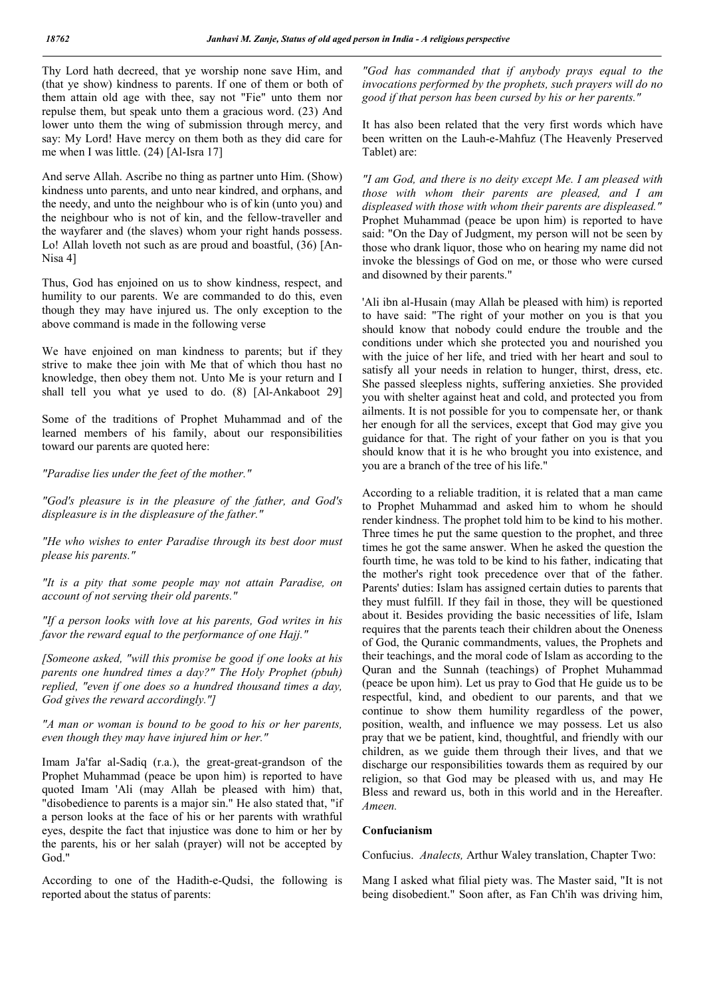Thy Lord hath decreed, that ye worship none save Him, and (that ye show) kindness to parents. If one of them or both of them attain old age with thee, say not "Fie" unto them nor repulse them, but speak unto them a gracious word. (23) And lower unto them the wing of submission through mercy, and say: My Lord! Have mercy on them both as they did care for me when I was little. (24) [Al-Isra 17]

And serve Allah. Ascribe no thing as partner unto Him. (Show) kindness unto parents, and unto near kindred, and orphans, and the needy, and unto the neighbour who is of kin (unto you) and the neighbour who is not of kin, and the fellow-traveller and the wayfarer and (the slaves) whom your right hands possess. Lo! Allah loveth not such as are proud and boastful, (36) [An-Nisa 4]

Thus, God has enjoined on us to show kindness, respect, and humility to our parents. We are commanded to do this, even though they may have injured us. The only exception to the above command is made in the following verse

We have enjoined on man kindness to parents; but if they strive to make thee join with Me that of which thou hast no knowledge, then obey them not. Unto Me is your return and I shall tell you what ye used to do. (8) [Al-Ankaboot 29]

Some of the traditions of Prophet Muhammad and of the learned members of his family, about our responsibilities toward our parents are quoted here:

*"Paradise lies under the feet of the mother."*

*"God's pleasure is in the pleasure of the father, and God's displeasure is in the displeasure of the father."*

*"He who wishes to enter Paradise through its best door must please his parents."*

*"It is a pity that some people may not attain Paradise, on account of not serving their old parents."*

*"If a person looks with love at his parents, God writes in his favor the reward equal to the performance of one Hajj."*

*[Someone asked, "will this promise be good if one looks at his parents one hundred times a day?" The Holy Prophet (pbuh) replied, "even if one does so a hundred thousand times a day, God gives the reward accordingly."]*

*"A man or woman is bound to be good to his or her parents, even though they may have injured him or her."*

Imam Ja'far al-Sadiq (r.a.), the great-great-grandson of the Prophet Muhammad (peace be upon him) is reported to have quoted Imam 'Ali (may Allah be pleased with him) that, "disobedience to parents is a major sin." He also stated that, "if a person looks at the face of his or her parents with wrathful eyes, despite the fact that injustice was done to him or her by the parents, his or her salah (prayer) will not be accepted by God."

According to one of the Hadith-e-Qudsi, the following is reported about the status of parents:

*"God has commanded that if anybody prays equal to the invocations performed by the prophets, such prayers will do no good if that person has been cursed by his or her parents."*

It has also been related that the very first words which have been written on the Lauh-e-Mahfuz (The Heavenly Preserved Tablet) are:

*"I am God, and there is no deity except Me. I am pleased with those with whom their parents are pleased, and I am displeased with those with whom their parents are displeased."* Prophet Muhammad (peace be upon him) is reported to have said: "On the Day of Judgment, my person will not be seen by those who drank liquor, those who on hearing my name did not invoke the blessings of God on me, or those who were cursed and disowned by their parents."

'Ali ibn al-Husain (may Allah be pleased with him) is reported to have said: "The right of your mother on you is that you should know that nobody could endure the trouble and the conditions under which she protected you and nourished you with the juice of her life, and tried with her heart and soul to satisfy all your needs in relation to hunger, thirst, dress, etc. She passed sleepless nights, suffering anxieties. She provided you with shelter against heat and cold, and protected you from ailments. It is not possible for you to compensate her, or thank her enough for all the services, except that God may give you guidance for that. The right of your father on you is that you should know that it is he who brought you into existence, and you are a branch of the tree of his life."

According to a reliable tradition, it is related that a man came to Prophet Muhammad and asked him to whom he should render kindness. The prophet told him to be kind to his mother. Three times he put the same question to the prophet, and three times he got the same answer. When he asked the question the fourth time, he was told to be kind to his father, indicating that the mother's right took precedence over that of the father. Parents' duties: Islam has assigned certain duties to parents that they must fulfill. If they fail in those, they will be questioned about it. Besides providing the basic necessities of life, Islam requires that the parents teach their children about the Oneness of God, the Quranic commandments, values, the Prophets and their teachings, and the moral code of Islam as according to the Quran and the Sunnah (teachings) of Prophet Muhammad (peace be upon him). Let us pray to God that He guide us to be respectful, kind, and obedient to our parents, and that we continue to show them humility regardless of the power, position, wealth, and influence we may possess. Let us also pray that we be patient, kind, thoughtful, and friendly with our children, as we guide them through their lives, and that we discharge our responsibilities towards them as required by our religion, so that God may be pleased with us, and may He Bless and reward us, both in this world and in the Hereafter. *Ameen.*

#### Confucianism

Confucius. *Analects,* Arthur Waley translation, Chapter Two:

Mang I asked what filial piety was. The Master said, "It is not being disobedient." Soon after, as Fan Ch'ih was driving him,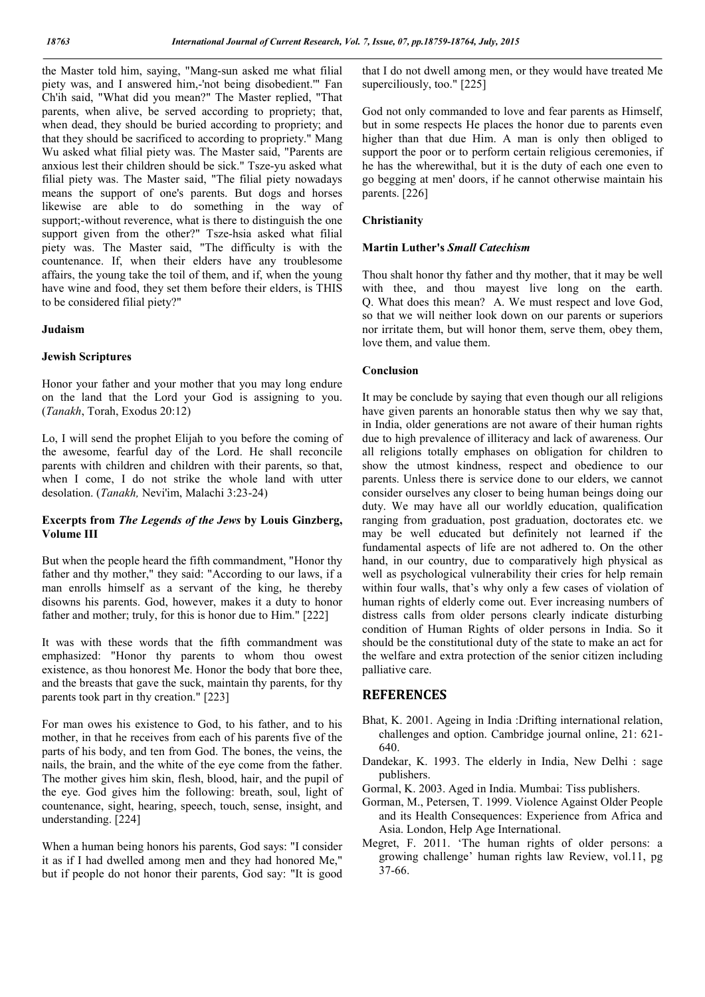the Master told him, saying, "Mang-sun asked me what filial piety was, and I answered him,-'not being disobedient.'" Fan Ch'ih said, "What did you mean?" The Master replied, "That parents, when alive, be served according to propriety; that, when dead, they should be buried according to propriety; and that they should be sacrificed to according to propriety." Mang Wu asked what filial piety was. The Master said, "Parents are anxious lest their children should be sick." Tsze-yu asked what filial piety was. The Master said, "The filial piety nowadays means the support of one's parents. But dogs and horses likewise are able to do something in the way of support;-without reverence, what is there to distinguish the one support given from the other?" Tsze-hsia asked what filial piety was. The Master said, "The difficulty is with the countenance. If, when their elders have any troublesome affairs, the young take the toil of them, and if, when the young have wine and food, they set them before their elders, is THIS to be considered filial piety?"

## Judaism

## Jewish Scriptures

Honor your father and your mother that you may long endure on the land that the Lord your God is assigning to you. (*Tanakh*, Torah, Exodus 20:12)

Lo, I will send the prophet Elijah to you before the coming of the awesome, fearful day of the Lord. He shall reconcile parents with children and children with their parents, so that, when I come, I do not strike the whole land with utter desolation. (*Tanakh,* Nevi'im, Malachi 3:23-24)

## Excerpts from *The Legends of the Jews* by Louis Ginzberg, Volume III

But when the people heard the fifth commandment, "Honor thy father and thy mother," they said: "According to our laws, if a man enrolls himself as a servant of the king, he thereby disowns his parents. God, however, makes it a duty to honor father and mother; truly, for this is honor due to Him." [222]

It was with these words that the fifth commandment was emphasized: "Honor thy parents to whom thou owest existence, as thou honorest Me. Honor the body that bore thee, and the breasts that gave the suck, maintain thy parents, for thy parents took part in thy creation." [223]

For man owes his existence to God, to his father, and to his mother, in that he receives from each of his parents five of the parts of his body, and ten from God. The bones, the veins, the nails, the brain, and the white of the eye come from the father. The mother gives him skin, flesh, blood, hair, and the pupil of the eye. God gives him the following: breath, soul, light of countenance, sight, hearing, speech, touch, sense, insight, and understanding. [224]

When a human being honors his parents, God says: "I consider it as if I had dwelled among men and they had honored Me," but if people do not honor their parents, God say: "It is good that I do not dwell among men, or they would have treated Me superciliously, too." [225]

God not only commanded to love and fear parents as Himself, but in some respects He places the honor due to parents even higher than that due Him. A man is only then obliged to support the poor or to perform certain religious ceremonies, if he has the wherewithal, but it is the duty of each one even to go begging at men' doors, if he cannot otherwise maintain his parents. [226]

## Christianity

## Martin Luther's *Small Catechism*

Thou shalt honor thy father and thy mother, that it may be well with thee, and thou may est live long on the earth. Q. What does this mean? A. We must respect and love God, so that we will neither look down on our parents or superiors nor irritate them, but will honor them, serve them, obey them, love them, and value them.

## Conclusion

It may be conclude by saying that even though our all religions have given parents an honorable status then why we say that, in India, older generations are not aware of their human rights due to high prevalence of illiteracy and lack of awareness. Our all religions totally emphases on obligation for children to show the utmost kindness, respect and obedience to our parents. Unless there is service done to our elders, we cannot consider ourselves any closer to being human beings doing our duty. We may have all our worldly education, qualification ranging from graduation, post graduation, doctorates etc. we may be well educated but definitely not learned if the fundamental aspects of life are not adhered to. On the other hand, in our country, due to comparatively high physical as well as psychological vulnerability their cries for help remain within four walls, that's why only a few cases of violation of human rights of elderly come out. Ever increasing numbers of distress calls from older persons clearly indicate disturbing condition of Human Rights of older persons in India. So it should be the constitutional duty of the state to make an act for the welfare and extra protection of the senior citizen including palliative care.

## **REFERENCES**

- Bhat, K. 2001. Ageing in India :Drifting international relation, challenges and option. Cambridge journal online, 21: 621- 640.
- Dandekar, K. 1993. The elderly in India, New Delhi : sage publishers.
- Gormal, K. 2003. Aged in India. Mumbai: Tiss publishers.
- Gorman, M., Petersen, T. 1999. Violence Against Older People and its Health Consequences: Experience from Africa and Asia. London, Help Age International.
- Megret, F. 2011. 'The human rights of older persons: a growing challenge' human rights law Review, vol.11, pg 37-66.